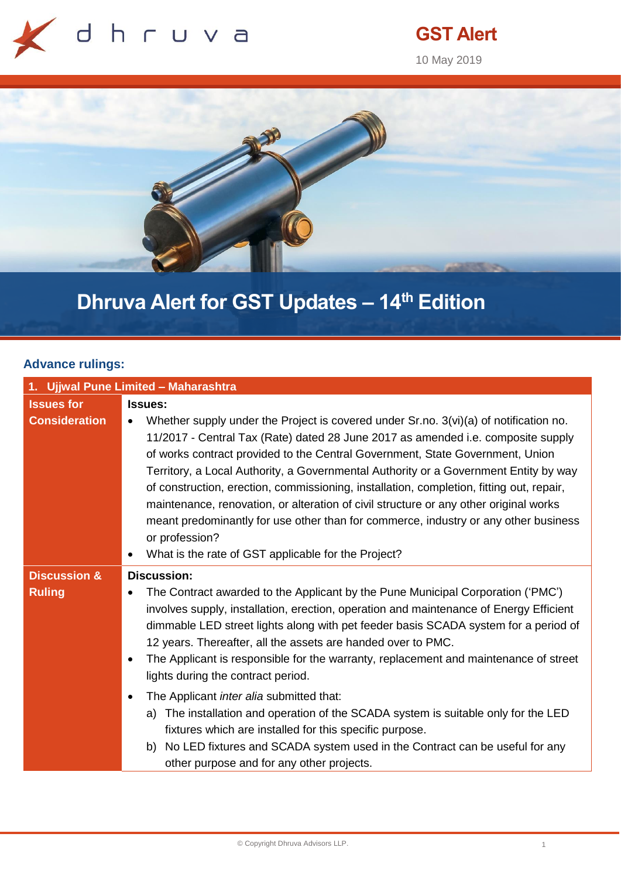

## **GST Alert**

10 May 2019



# **Dhruva Alert for GST Updates – 14th Edition**

#### **Advance rulings:**

| 1. Ujjwal Pune Limited - Maharashtra |                                                                                                                                                                                                                                                                                                                                                                                                                                                                                                                                                                                                                                                                                                                           |  |
|--------------------------------------|---------------------------------------------------------------------------------------------------------------------------------------------------------------------------------------------------------------------------------------------------------------------------------------------------------------------------------------------------------------------------------------------------------------------------------------------------------------------------------------------------------------------------------------------------------------------------------------------------------------------------------------------------------------------------------------------------------------------------|--|
| <b>Issues for</b>                    | <b>Issues:</b>                                                                                                                                                                                                                                                                                                                                                                                                                                                                                                                                                                                                                                                                                                            |  |
| <b>Consideration</b>                 | Whether supply under the Project is covered under Sr.no. 3(vi)(a) of notification no.<br>$\bullet$<br>11/2017 - Central Tax (Rate) dated 28 June 2017 as amended i.e. composite supply<br>of works contract provided to the Central Government, State Government, Union<br>Territory, a Local Authority, a Governmental Authority or a Government Entity by way<br>of construction, erection, commissioning, installation, completion, fitting out, repair,<br>maintenance, renovation, or alteration of civil structure or any other original works<br>meant predominantly for use other than for commerce, industry or any other business<br>or profession?<br>What is the rate of GST applicable for the Project?<br>٠ |  |
| <b>Discussion &amp;</b>              | <b>Discussion:</b>                                                                                                                                                                                                                                                                                                                                                                                                                                                                                                                                                                                                                                                                                                        |  |
| <b>Ruling</b>                        | The Contract awarded to the Applicant by the Pune Municipal Corporation ('PMC')<br>involves supply, installation, erection, operation and maintenance of Energy Efficient<br>dimmable LED street lights along with pet feeder basis SCADA system for a period of<br>12 years. Thereafter, all the assets are handed over to PMC.<br>The Applicant is responsible for the warranty, replacement and maintenance of street<br>$\bullet$<br>lights during the contract period.                                                                                                                                                                                                                                               |  |
|                                      | The Applicant inter alia submitted that:<br>$\bullet$<br>The installation and operation of the SCADA system is suitable only for the LED<br>a)<br>fixtures which are installed for this specific purpose.<br>b) No LED fixtures and SCADA system used in the Contract can be useful for any<br>other purpose and for any other projects.                                                                                                                                                                                                                                                                                                                                                                                  |  |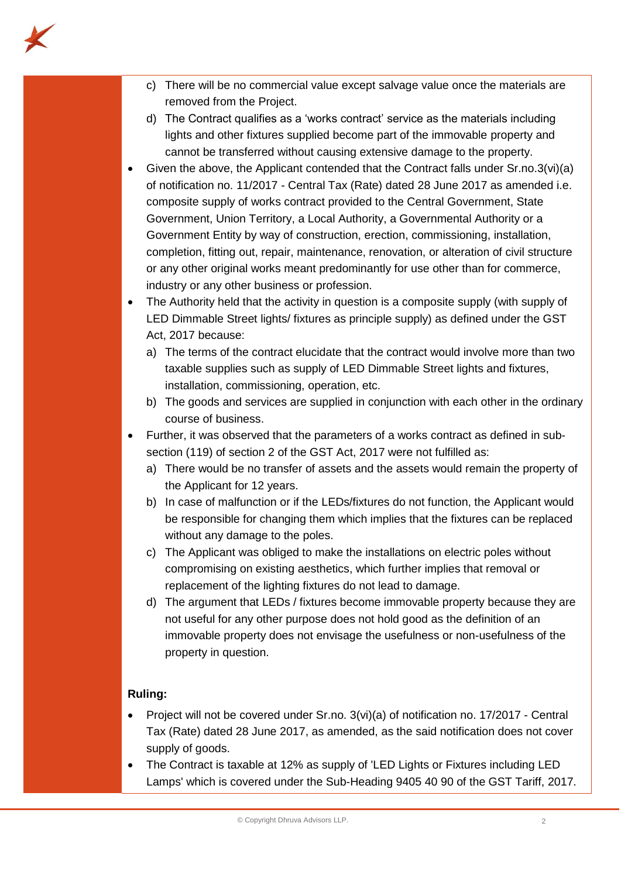

- c) There will be no commercial value except salvage value once the materials are removed from the Project.
- d) The Contract qualifies as a 'works contract' service as the materials including lights and other fixtures supplied become part of the immovable property and cannot be transferred without causing extensive damage to the property.
- Given the above, the Applicant contended that the Contract falls under Sr.no.3(vi)(a) of notification no. 11/2017 - Central Tax (Rate) dated 28 June 2017 as amended i.e. composite supply of works contract provided to the Central Government, State Government, Union Territory, a Local Authority, a Governmental Authority or a Government Entity by way of construction, erection, commissioning, installation, completion, fitting out, repair, maintenance, renovation, or alteration of civil structure or any other original works meant predominantly for use other than for commerce, industry or any other business or profession.
- The Authority held that the activity in question is a composite supply (with supply of LED Dimmable Street lights/ fixtures as principle supply) as defined under the GST Act, 2017 because:
	- a) The terms of the contract elucidate that the contract would involve more than two taxable supplies such as supply of LED Dimmable Street lights and fixtures, installation, commissioning, operation, etc.
	- b) The goods and services are supplied in conjunction with each other in the ordinary course of business.
- Further, it was observed that the parameters of a works contract as defined in subsection (119) of section 2 of the GST Act, 2017 were not fulfilled as:
	- a) There would be no transfer of assets and the assets would remain the property of the Applicant for 12 years.
	- b) In case of malfunction or if the LEDs/fixtures do not function, the Applicant would be responsible for changing them which implies that the fixtures can be replaced without any damage to the poles.
	- c) The Applicant was obliged to make the installations on electric poles without compromising on existing aesthetics, which further implies that removal or replacement of the lighting fixtures do not lead to damage.
	- d) The argument that LEDs / fixtures become immovable property because they are not useful for any other purpose does not hold good as the definition of an immovable property does not envisage the usefulness or non-usefulness of the property in question.

#### **Ruling:**

- Project will not be covered under Sr.no. 3(vi)(a) of notification no. 17/2017 Central Tax (Rate) dated 28 June 2017, as amended, as the said notification does not cover supply of goods.
- The Contract is taxable at 12% as supply of 'LED Lights or Fixtures including LED Lamps' which is covered under the Sub-Heading 9405 40 90 of the GST Tariff, 2017.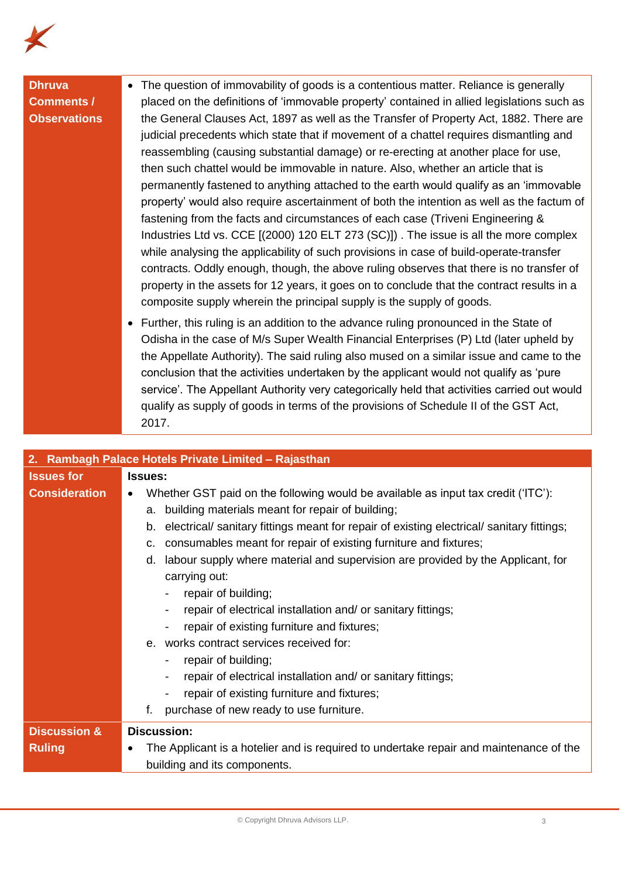

#### **Dhruva Comments / Observations**

• The question of immovability of goods is a contentious matter. Reliance is generally placed on the definitions of 'immovable property' contained in allied legislations such as the General Clauses Act, 1897 as well as the Transfer of Property Act, 1882. There are judicial precedents which state that if movement of a chattel requires dismantling and reassembling (causing substantial damage) or re-erecting at another place for use, then such chattel would be immovable in nature. Also, whether an article that is permanently fastened to anything attached to the earth would qualify as an 'immovable property' would also require ascertainment of both the intention as well as the factum of fastening from the facts and circumstances of each case (Triveni Engineering & Industries Ltd vs. CCE [(2000) 120 ELT 273 (SC)]) . The issue is all the more complex while analysing the applicability of such provisions in case of build-operate-transfer contracts. Oddly enough, though, the above ruling observes that there is no transfer of property in the assets for 12 years, it goes on to conclude that the contract results in a composite supply wherein the principal supply is the supply of goods.

• Further, this ruling is an addition to the advance ruling pronounced in the State of Odisha in the case of M/s Super Wealth Financial Enterprises (P) Ltd (later upheld by the Appellate Authority). The said ruling also mused on a similar issue and came to the conclusion that the activities undertaken by the applicant would not qualify as 'pure service'. The Appellant Authority very categorically held that activities carried out would qualify as supply of goods in terms of the provisions of Schedule II of the GST Act, 2017.

| 2. Rambagh Palace Hotels Private Limited - Rajasthan |                                                                                                 |  |  |
|------------------------------------------------------|-------------------------------------------------------------------------------------------------|--|--|
| <b>Issues for</b>                                    | <b>Issues:</b>                                                                                  |  |  |
| <b>Consideration</b>                                 | Whether GST paid on the following would be available as input tax credit ('ITC'):               |  |  |
|                                                      | building materials meant for repair of building;<br>а.                                          |  |  |
|                                                      | electrical/ sanitary fittings meant for repair of existing electrical/ sanitary fittings;<br>b. |  |  |
|                                                      | consumables meant for repair of existing furniture and fixtures;<br>c.                          |  |  |
|                                                      | labour supply where material and supervision are provided by the Applicant, for<br>d.           |  |  |
|                                                      | carrying out:                                                                                   |  |  |
|                                                      | repair of building;                                                                             |  |  |
|                                                      | repair of electrical installation and/ or sanitary fittings;                                    |  |  |
|                                                      | repair of existing furniture and fixtures;                                                      |  |  |
|                                                      | works contract services received for:<br>$\theta$ .                                             |  |  |
|                                                      | repair of building;                                                                             |  |  |
|                                                      | repair of electrical installation and/ or sanitary fittings;                                    |  |  |
|                                                      | repair of existing furniture and fixtures;                                                      |  |  |
|                                                      | f.<br>purchase of new ready to use furniture.                                                   |  |  |
| <b>Discussion &amp;</b>                              | <b>Discussion:</b>                                                                              |  |  |
| <b>Ruling</b>                                        | The Applicant is a hotelier and is required to undertake repair and maintenance of the          |  |  |
|                                                      | building and its components.                                                                    |  |  |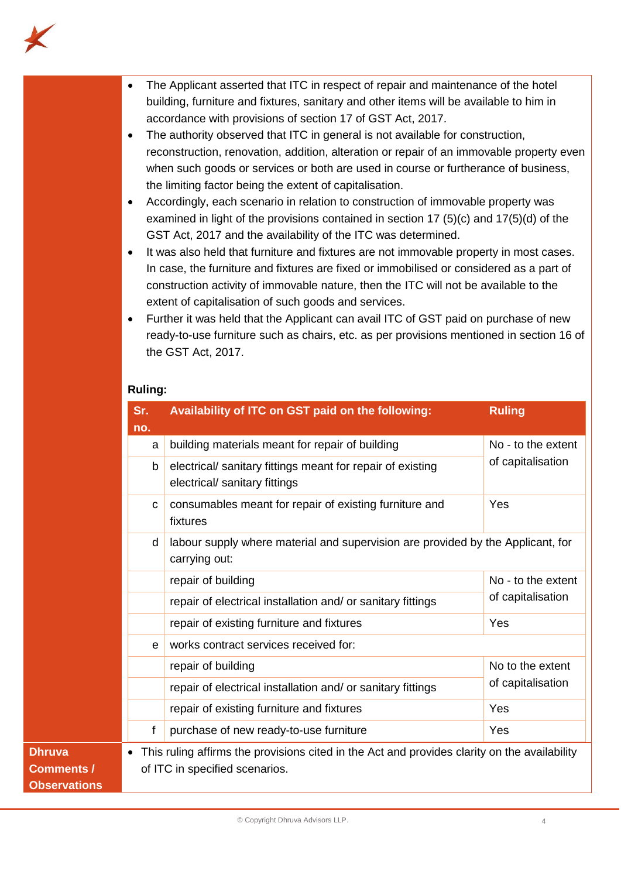

- The Applicant asserted that ITC in respect of repair and maintenance of the hotel building, furniture and fixtures, sanitary and other items will be available to him in accordance with provisions of section 17 of GST Act, 2017.
- The authority observed that ITC in general is not available for construction, reconstruction, renovation, addition, alteration or repair of an immovable property even when such goods or services or both are used in course or furtherance of business, the limiting factor being the extent of capitalisation.
- Accordingly, each scenario in relation to construction of immovable property was examined in light of the provisions contained in section 17 (5)(c) and 17(5)(d) of the GST Act, 2017 and the availability of the ITC was determined.
- It was also held that furniture and fixtures are not immovable property in most cases. In case, the furniture and fixtures are fixed or immobilised or considered as a part of construction activity of immovable nature, then the ITC will not be available to the extent of capitalisation of such goods and services.
- Further it was held that the Applicant can avail ITC of GST paid on purchase of new ready-to-use furniture such as chairs, etc. as per provisions mentioned in section 16 of the GST Act, 2017.

#### **Ruling:**

| Sr.<br>no. | Availability of ITC on GST paid on the following:                                                     | <b>Ruling</b>      |
|------------|-------------------------------------------------------------------------------------------------------|--------------------|
|            | building materials meant for repair of building<br>a                                                  | No - to the extent |
|            | electrical/ sanitary fittings meant for repair of existing<br>b<br>electrical/ sanitary fittings      | of capitalisation  |
|            | consumables meant for repair of existing furniture and<br>C<br>fixtures                               | Yes                |
|            | labour supply where material and supervision are provided by the Applicant, for<br>d<br>carrying out: |                    |
|            | repair of building                                                                                    | No - to the extent |
|            | repair of electrical installation and/ or sanitary fittings                                           | of capitalisation  |
|            | repair of existing furniture and fixtures                                                             | Yes                |
|            | works contract services received for:<br>e                                                            |                    |
|            | repair of building                                                                                    | No to the extent   |
|            | repair of electrical installation and/ or sanitary fittings                                           | of capitalisation  |
|            | repair of existing furniture and fixtures                                                             | Yes                |
| f          | purchase of new ready-to-use furniture                                                                | Yes                |
| $\bullet$  | This ruling affirms the provisions cited in the Act and provides clarity on the availability          |                    |
|            | of ITC in specified scenarios.                                                                        |                    |
|            |                                                                                                       |                    |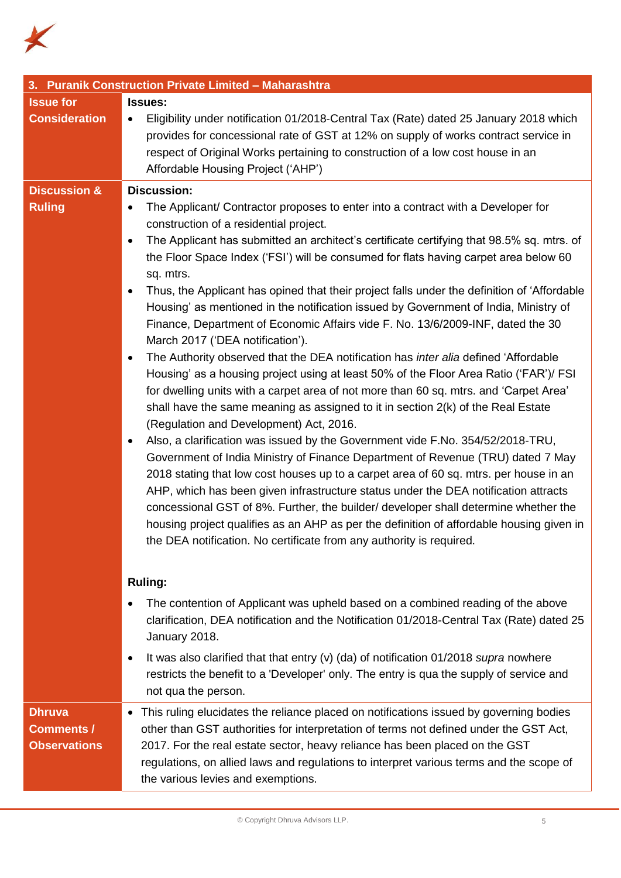

| 3. Puranik Construction Private Limited - Maharashtra     |                                                                                                                                                                                                                                                                                                                                                                                                                                                                                                                                                                                                                                                                                                                                                                                                                                                                                                                                                                                                                                                                                                                                                                                                                                                                                                                                                                                                                                                                                                                                                                                                                                                                                                        |  |  |  |
|-----------------------------------------------------------|--------------------------------------------------------------------------------------------------------------------------------------------------------------------------------------------------------------------------------------------------------------------------------------------------------------------------------------------------------------------------------------------------------------------------------------------------------------------------------------------------------------------------------------------------------------------------------------------------------------------------------------------------------------------------------------------------------------------------------------------------------------------------------------------------------------------------------------------------------------------------------------------------------------------------------------------------------------------------------------------------------------------------------------------------------------------------------------------------------------------------------------------------------------------------------------------------------------------------------------------------------------------------------------------------------------------------------------------------------------------------------------------------------------------------------------------------------------------------------------------------------------------------------------------------------------------------------------------------------------------------------------------------------------------------------------------------------|--|--|--|
| <b>Issue for</b>                                          | <b>Issues:</b>                                                                                                                                                                                                                                                                                                                                                                                                                                                                                                                                                                                                                                                                                                                                                                                                                                                                                                                                                                                                                                                                                                                                                                                                                                                                                                                                                                                                                                                                                                                                                                                                                                                                                         |  |  |  |
| <b>Consideration</b>                                      | Eligibility under notification 01/2018-Central Tax (Rate) dated 25 January 2018 which<br>$\bullet$<br>provides for concessional rate of GST at 12% on supply of works contract service in<br>respect of Original Works pertaining to construction of a low cost house in an<br>Affordable Housing Project ('AHP')                                                                                                                                                                                                                                                                                                                                                                                                                                                                                                                                                                                                                                                                                                                                                                                                                                                                                                                                                                                                                                                                                                                                                                                                                                                                                                                                                                                      |  |  |  |
| <b>Discussion &amp;</b>                                   | <b>Discussion:</b>                                                                                                                                                                                                                                                                                                                                                                                                                                                                                                                                                                                                                                                                                                                                                                                                                                                                                                                                                                                                                                                                                                                                                                                                                                                                                                                                                                                                                                                                                                                                                                                                                                                                                     |  |  |  |
| <b>Ruling</b>                                             | The Applicant/ Contractor proposes to enter into a contract with a Developer for<br>$\bullet$<br>construction of a residential project.<br>The Applicant has submitted an architect's certificate certifying that 98.5% sq. mtrs. of<br>٠<br>the Floor Space Index ('FSI') will be consumed for flats having carpet area below 60<br>sq. mtrs.<br>Thus, the Applicant has opined that their project falls under the definition of 'Affordable<br>Housing' as mentioned in the notification issued by Government of India, Ministry of<br>Finance, Department of Economic Affairs vide F. No. 13/6/2009-INF, dated the 30<br>March 2017 ('DEA notification').<br>The Authority observed that the DEA notification has inter alia defined 'Affordable<br>$\bullet$<br>Housing' as a housing project using at least 50% of the Floor Area Ratio ('FAR')/ FSI<br>for dwelling units with a carpet area of not more than 60 sq. mtrs. and 'Carpet Area'<br>shall have the same meaning as assigned to it in section 2(k) of the Real Estate<br>(Regulation and Development) Act, 2016.<br>Also, a clarification was issued by the Government vide F.No. 354/52/2018-TRU,<br>٠<br>Government of India Ministry of Finance Department of Revenue (TRU) dated 7 May<br>2018 stating that low cost houses up to a carpet area of 60 sq. mtrs. per house in an<br>AHP, which has been given infrastructure status under the DEA notification attracts<br>concessional GST of 8%. Further, the builder/ developer shall determine whether the<br>housing project qualifies as an AHP as per the definition of affordable housing given in<br>the DEA notification. No certificate from any authority is required. |  |  |  |
|                                                           | <b>Ruling:</b>                                                                                                                                                                                                                                                                                                                                                                                                                                                                                                                                                                                                                                                                                                                                                                                                                                                                                                                                                                                                                                                                                                                                                                                                                                                                                                                                                                                                                                                                                                                                                                                                                                                                                         |  |  |  |
|                                                           | The contention of Applicant was upheld based on a combined reading of the above<br>clarification, DEA notification and the Notification 01/2018-Central Tax (Rate) dated 25<br>January 2018.                                                                                                                                                                                                                                                                                                                                                                                                                                                                                                                                                                                                                                                                                                                                                                                                                                                                                                                                                                                                                                                                                                                                                                                                                                                                                                                                                                                                                                                                                                           |  |  |  |
|                                                           | It was also clarified that that entry (v) (da) of notification $01/2018$ supra nowhere<br>$\bullet$<br>restricts the benefit to a 'Developer' only. The entry is qua the supply of service and<br>not qua the person.                                                                                                                                                                                                                                                                                                                                                                                                                                                                                                                                                                                                                                                                                                                                                                                                                                                                                                                                                                                                                                                                                                                                                                                                                                                                                                                                                                                                                                                                                  |  |  |  |
| <b>Dhruva</b><br><b>Comments /</b><br><b>Observations</b> | This ruling elucidates the reliance placed on notifications issued by governing bodies<br>$\bullet$<br>other than GST authorities for interpretation of terms not defined under the GST Act,<br>2017. For the real estate sector, heavy reliance has been placed on the GST<br>regulations, on allied laws and regulations to interpret various terms and the scope of<br>the various levies and exemptions.                                                                                                                                                                                                                                                                                                                                                                                                                                                                                                                                                                                                                                                                                                                                                                                                                                                                                                                                                                                                                                                                                                                                                                                                                                                                                           |  |  |  |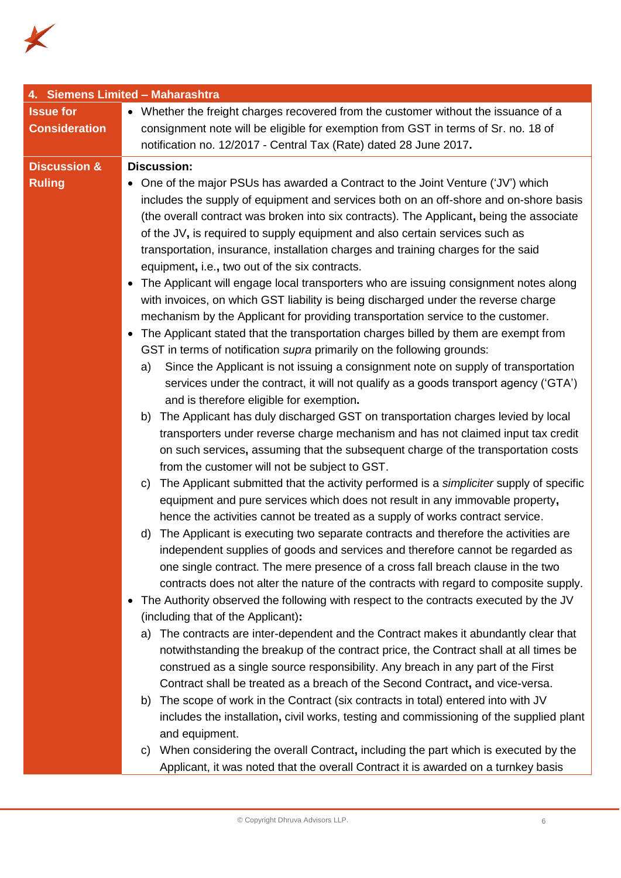

| 4. Siemens Limited - Maharashtra |                                                                                                                                                                           |  |  |  |
|----------------------------------|---------------------------------------------------------------------------------------------------------------------------------------------------------------------------|--|--|--|
| <b>Issue for</b>                 | • Whether the freight charges recovered from the customer without the issuance of a                                                                                       |  |  |  |
| <b>Consideration</b>             | consignment note will be eligible for exemption from GST in terms of Sr. no. 18 of                                                                                        |  |  |  |
|                                  | notification no. 12/2017 - Central Tax (Rate) dated 28 June 2017.                                                                                                         |  |  |  |
| <b>Discussion &amp;</b>          | <b>Discussion:</b>                                                                                                                                                        |  |  |  |
| <b>Ruling</b>                    | • One of the major PSUs has awarded a Contract to the Joint Venture ('JV') which                                                                                          |  |  |  |
|                                  | includes the supply of equipment and services both on an off-shore and on-shore basis                                                                                     |  |  |  |
|                                  | (the overall contract was broken into six contracts). The Applicant, being the associate                                                                                  |  |  |  |
|                                  | of the JV, is required to supply equipment and also certain services such as                                                                                              |  |  |  |
|                                  | transportation, insurance, installation charges and training charges for the said                                                                                         |  |  |  |
|                                  | equipment, i.e., two out of the six contracts.                                                                                                                            |  |  |  |
|                                  | • The Applicant will engage local transporters who are issuing consignment notes along                                                                                    |  |  |  |
|                                  | with invoices, on which GST liability is being discharged under the reverse charge                                                                                        |  |  |  |
|                                  | mechanism by the Applicant for providing transportation service to the customer.                                                                                          |  |  |  |
|                                  | The Applicant stated that the transportation charges billed by them are exempt from<br>$\bullet$                                                                          |  |  |  |
|                                  | GST in terms of notification <i>supra</i> primarily on the following grounds:                                                                                             |  |  |  |
|                                  | Since the Applicant is not issuing a consignment note on supply of transportation<br>a)                                                                                   |  |  |  |
|                                  | services under the contract, it will not qualify as a goods transport agency ('GTA')                                                                                      |  |  |  |
|                                  | and is therefore eligible for exemption.                                                                                                                                  |  |  |  |
|                                  | The Applicant has duly discharged GST on transportation charges levied by local<br>b)                                                                                     |  |  |  |
|                                  | transporters under reverse charge mechanism and has not claimed input tax credit                                                                                          |  |  |  |
|                                  | on such services, assuming that the subsequent charge of the transportation costs                                                                                         |  |  |  |
|                                  | from the customer will not be subject to GST.                                                                                                                             |  |  |  |
|                                  | The Applicant submitted that the activity performed is a simpliciter supply of specific<br>C)                                                                             |  |  |  |
|                                  | equipment and pure services which does not result in any immovable property,                                                                                              |  |  |  |
|                                  | hence the activities cannot be treated as a supply of works contract service.                                                                                             |  |  |  |
|                                  | The Applicant is executing two separate contracts and therefore the activities are<br>d)                                                                                  |  |  |  |
|                                  | independent supplies of goods and services and therefore cannot be regarded as                                                                                            |  |  |  |
|                                  | one single contract. The mere presence of a cross fall breach clause in the two                                                                                           |  |  |  |
|                                  | contracts does not alter the nature of the contracts with regard to composite supply.                                                                                     |  |  |  |
|                                  | The Authority observed the following with respect to the contracts executed by the JV                                                                                     |  |  |  |
|                                  | (including that of the Applicant):                                                                                                                                        |  |  |  |
|                                  | The contracts are inter-dependent and the Contract makes it abundantly clear that<br>a)                                                                                   |  |  |  |
|                                  | notwithstanding the breakup of the contract price, the Contract shall at all times be<br>construed as a single source responsibility. Any breach in any part of the First |  |  |  |
|                                  |                                                                                                                                                                           |  |  |  |
|                                  | Contract shall be treated as a breach of the Second Contract, and vice-versa.<br>The scope of work in the Contract (six contracts in total) entered into with JV<br>b)    |  |  |  |
|                                  | includes the installation, civil works, testing and commissioning of the supplied plant                                                                                   |  |  |  |
|                                  | and equipment.                                                                                                                                                            |  |  |  |
|                                  | When considering the overall Contract, including the part which is executed by the<br>C)                                                                                  |  |  |  |
|                                  | Applicant, it was noted that the overall Contract it is awarded on a turnkey basis                                                                                        |  |  |  |
|                                  |                                                                                                                                                                           |  |  |  |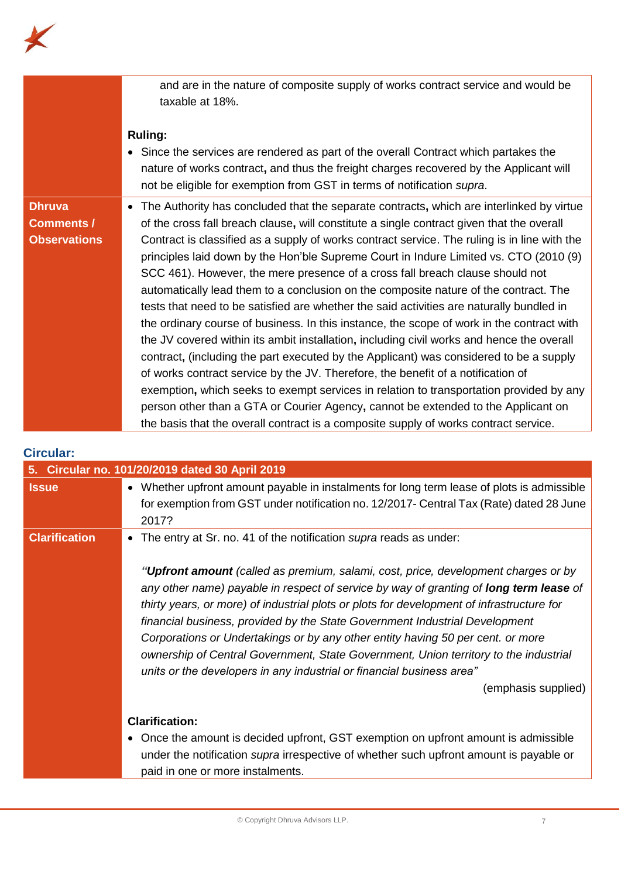

|                     | and are in the nature of composite supply of works contract service and would be<br>taxable at 18%.                                                                                                                                                                        |
|---------------------|----------------------------------------------------------------------------------------------------------------------------------------------------------------------------------------------------------------------------------------------------------------------------|
|                     | <b>Ruling:</b><br>• Since the services are rendered as part of the overall Contract which partakes the<br>nature of works contract, and thus the freight charges recovered by the Applicant will<br>not be eligible for exemption from GST in terms of notification supra. |
| <b>Dhruva</b>       | The Authority has concluded that the separate contracts, which are interlinked by virtue                                                                                                                                                                                   |
| <b>Comments /</b>   | of the cross fall breach clause, will constitute a single contract given that the overall                                                                                                                                                                                  |
| <b>Observations</b> | Contract is classified as a supply of works contract service. The ruling is in line with the                                                                                                                                                                               |
|                     | principles laid down by the Hon'ble Supreme Court in Indure Limited vs. CTO (2010 (9)                                                                                                                                                                                      |
|                     | SCC 461). However, the mere presence of a cross fall breach clause should not                                                                                                                                                                                              |
|                     | automatically lead them to a conclusion on the composite nature of the contract. The                                                                                                                                                                                       |
|                     | tests that need to be satisfied are whether the said activities are naturally bundled in                                                                                                                                                                                   |
|                     | the ordinary course of business. In this instance, the scope of work in the contract with                                                                                                                                                                                  |
|                     | the JV covered within its ambit installation, including civil works and hence the overall                                                                                                                                                                                  |
|                     |                                                                                                                                                                                                                                                                            |
|                     | contract, (including the part executed by the Applicant) was considered to be a supply                                                                                                                                                                                     |
|                     | of works contract service by the JV. Therefore, the benefit of a notification of                                                                                                                                                                                           |
|                     | exemption, which seeks to exempt services in relation to transportation provided by any                                                                                                                                                                                    |
|                     | person other than a GTA or Courier Agency, cannot be extended to the Applicant on                                                                                                                                                                                          |
|                     | the basis that the overall contract is a composite supply of works contract service.                                                                                                                                                                                       |

### **Circular:**